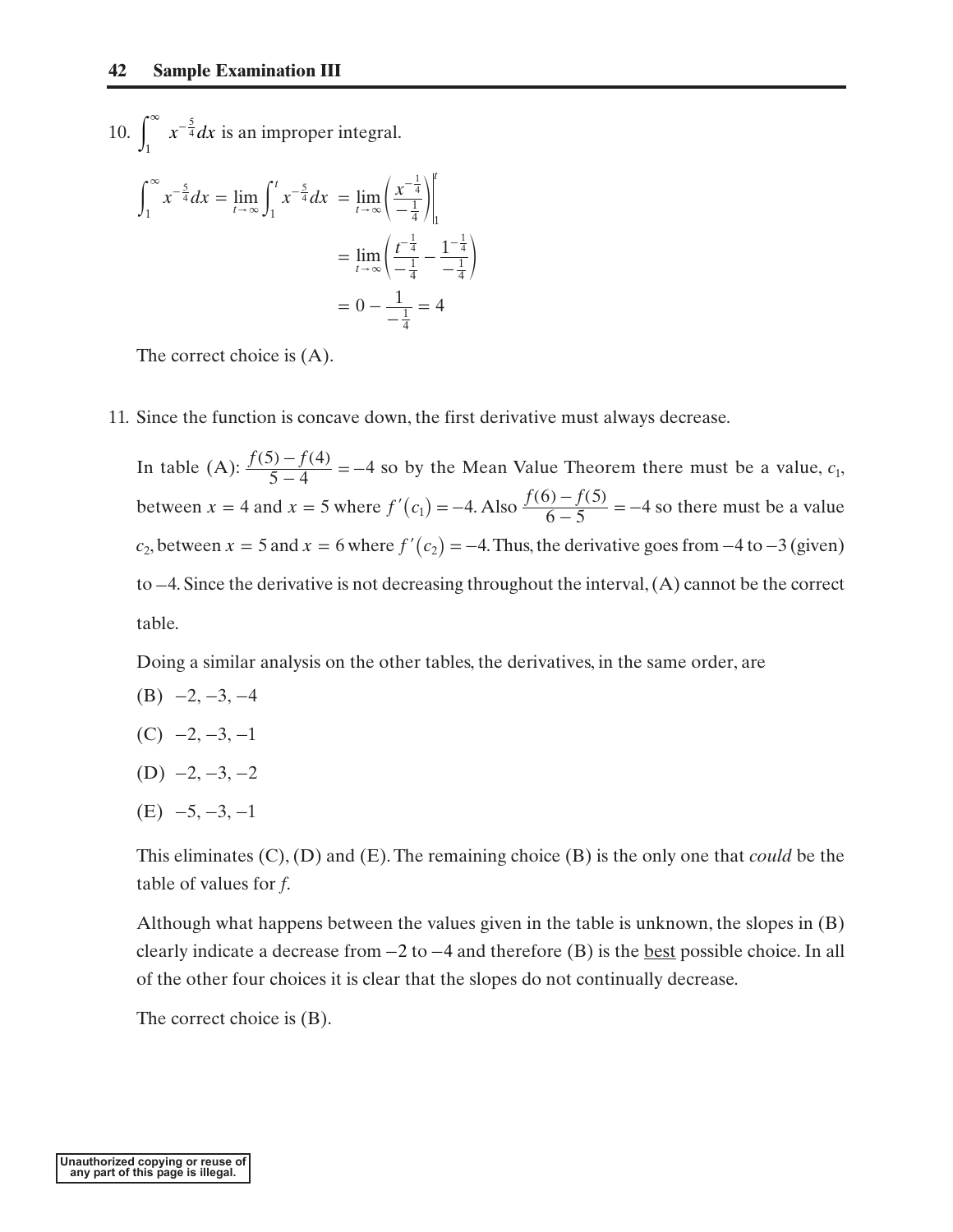10.  $\int x^{-\frac{1}{4}} dx$  is an improper integral.  $\infty$ **ample Examination III**<br>  $x^{-\frac{5}{4}}dx$  is an improper integral.<br>  $x^{-\frac{5}{4}}dx = \lim_{t \to \infty} \int_{1}^{t} x^{-\frac{5}{4}}dx = \lim_{t \to \infty} \left( \frac{x}{t} \right)$ <br>  $= \lim_{t \to \infty} \left( \frac{t}{t} \right)$  $\lim \left( \frac{t^{-\frac{1}{4}}}{1} - \frac{1}{t} \right)$  $0 - \frac{1}{1} = 4$  $\int_{1}^{\infty} x^{-\frac{5}{4}} dx = \lim_{t \to \infty} \int_{1}^{t} x^{-\frac{5}{4}} dx = \lim_{t \to \infty} \left( \frac{x^{-\frac{1}{4}}}{-\frac{1}{4}} \right)$ 1 4 1 4 1 4 1  $rac{1}{4}$   $1-\frac{1}{4}$ **Examination III**<br>
is an improper integral.<br>  $= \lim_{t \to \infty} \int_1^t x^{-\frac{5}{4}} dx = \lim_{t \to \infty} \left( \frac{x}{\frac{1}{t}} \right)$ <br>  $= \lim_{t \to \infty} \left( \frac{t}{\frac{1}{t}} \right)$  $=\lim_{t\to\infty}\left(\frac{t}{-\frac{1}{4}}-\frac{1}{-\frac{1}{4}}\right)$ integral.<br>=  $\lim_{t \to \infty} \left( \frac{x^{-\frac{1}{4}}}{-\frac{1}{4}} \right)$ <br>=  $\lim_{t \to \infty} \left( \frac{t^{-\frac{1}{4}}}{-\frac{1}{4}} \right)$ <br>=  $0 - \frac{1}{-\frac{1}{4}}$  =  $\rightarrow \infty$   $J_1$   $t \rightarrow \infty$ mple Examination III<br>  $x^{-\frac{5}{4}}dx$  is an improper integral.<br>  $-\frac{5}{4}dx = \lim_{t \to \infty} \int_{1}^{t} x^{-\frac{5}{4}}dx = \lim_{t \to \infty} \left(\frac{x^{-\frac{5}{4}}}{-\frac{1}{2}}\right)dx$ <br>  $= \lim_{t \to \infty} \left(\frac{t^{-\frac{5}{4}}}{-\frac{1}{2}}\right)dx$  $\left[\frac{c^{-\frac{1}{4}}}{c^{-\frac{1}{4}}}\right]_1^l$ <br> $\left[-\frac{1}{4} - \frac{1}{4}\right]_1^l = 4$ Sample Examination III<br>  $\int_1^{\infty} x^{-\frac{5}{4}} dx$  is an improper integra<br>  $\int_1^{\infty} x^{-\frac{5}{4}} dx = \lim_{t \to \infty} \int_1^t x^{-\frac{5}{4}} dx = \lim_{t \to \infty} \left( \frac{2}{t} \right)$ <br>  $= \lim_{t \to \infty} \left( \frac{2}{t} \right)$  $\overline{\phantom{a}}$  $\infty$  $\int_{0}^{\infty} x^{-\frac{5}{4}} dx$  $\int_{1}^{\infty} x^{-\frac{5}{4}}$ 

The correct choice is (A).

11. Since the function is concave down, the first derivative must always decrease.

In table (A):  $\frac{f(3) - f(4)}{5 - 4} = -4$  so by the Mean Value Theorem there must be a value,  $c_1$ , between  $x = 4$  and  $x = 5$  where  $f'(c_1) = -4$ . Also  $\frac{f(0) - f(0)}{6} = -4$  so there must be a value  $c_2$ , between  $x = 5$  and  $x = 6$  where  $f'(c_2) = -4$ . Thus, the derivative goes from  $-4$  to  $-3$  (given) to  $-4$ . Since the derivative is not decreasing throughout the interval,  $(A)$  cannot be the correct table.  $f(5) - f$ <br> $f(5) - 4$ m is co<br>
5) – f<br>
5 – 4<br>
1d x = on is concave d<br> $\frac{5 - f(4)}{5 - 4} = -4$ on is concave<br>  $\frac{f(5) - f(4)}{5 - 4} = -$ <br>
and  $x = 5$  where tive mu<br> *f* (6) – *f*<br>  $\frac{f(6)-f}{6-5}$ te Th<br>  $\frac{6}{6}$  - 5<br>
the dex we must always<br>ue Theorem t<br> $\frac{6)-f(5)}{6-5} = -4$ (A):  $\frac{f(5) - f(4)}{5 - 4} = -4$  so by the Mean Value Theorem<br>  $x = 4$  and  $x = 5$  where  $f'(c_1) = -4$ . Also  $\frac{f(6) - f(5)}{6 - 5} = -4$ <br>  $\therefore$   $x = 5$  and  $x = 6$  where  $f'(c_2) = -4$  Thus the derivative = 4 and  $x = 5$  where  $f'(c_1) = -4$ . Also  $\frac{f(6) - f(5)}{6 - 5} = -4$  so there must be  $x = 5$  and  $x = 6$  where  $f'(c_2) = -4$ . Thus, the derivative goes from -4 to -3 the derivative is not decreasing throughout the interval (A) can

Doing a similar analysis on the other tables, the derivatives, in the same order, are

- (B) g a similar<br> $-2, -3, -4$
- $(C)$   $-2, -3, -1$  $-2, -3, -4$ <br> $-2, -3, -1$  $-2, -3, -1$ <br> $-2, -3, -2$
- (D)  $-2, -3, -2$ <br> $-5, -3, -1$
- $(E)$  -5, -3, -1

This eliminates (C), (D) and (E).The remaining choice (B) is the only one that *could* be the table of values for *f*.

Although what happens between the values given in the table is unknown, the slopes in (B) clearly indicate a decrease from  $-2$  to  $-4$  and therefore (B) is the <u>best</u> possible choice. In all of the other four choices it is clear that the slopes do not continually decrease.

The correct choice is (B).